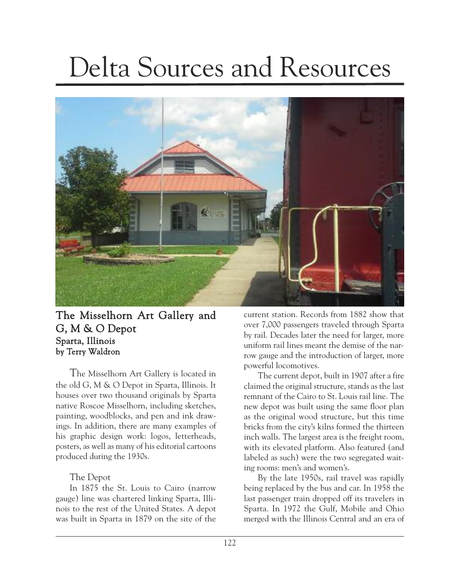# Delta Sources and Resources



## The Misselhorn Art Gallery and G, M & O Depot Sparta, Illinois by Terry Waldron

The Misselhorn Art Gallery is located in the old G, M & O Depot in Sparta, Illinois. It houses over two thousand originals by Sparta native Roscoe Misselhorn, including sketches, painting, woodblocks, and pen and ink drawings. In addition, there are many examples of his graphic design work: logos, letterheads, posters, as well as many of his editorial cartoons produced during the 1930s.

### The Depot

In 1875 the St. Louis to Cairo (narrow gauge) line was chartered linking Sparta, Illinois to the rest of the United States. A depot was built in Sparta in 1879 on the site of the current station. Records from 1882 show that over 7,000 passengers traveled through Sparta by rail. Decades later the need for larger, more uniform rail lines meant the demise of the narrow gauge and the introduction of larger, more powerful locomotives.

The current depot, built in 1907 after a fire claimed the original structure, stands as the last remnant of the Cairo to St. Louis rail line. The new depot was built using the same floor plan as the original wood structure, but this time bricks from the city's kilns formed the thirteen inch walls. The largest area is the freight room, with its elevated platform. Also featured (and labeled as such) were the two segregated waiting rooms: men's and women's.

By the late 1950s, rail travel was rapidly being replaced by the bus and car. In 1958 the last passenger train dropped off its travelers in Sparta. In 1972 the Gulf, Mobile and Ohio merged with the Illinois Central and an era of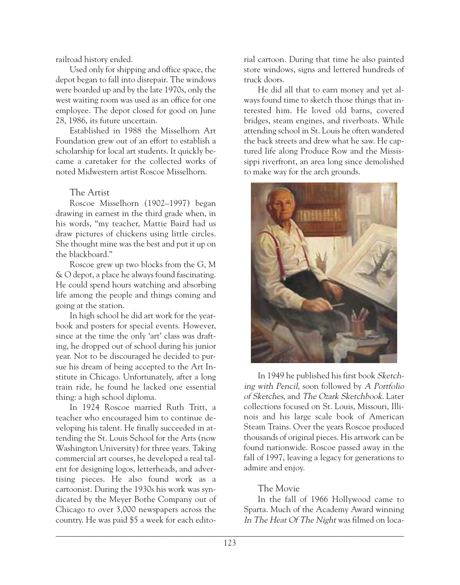railroad history ended.

Used only for shipping and office space, the depot began to fall into disrepair. The windows were boarded up and by the late 1970s, only the west waiting room was used as an office for one employee. The depot closed for good on June 28, 1986, its future uncertain.

Established in 1988 the Misselhorn Art Foundation grew out of an effort to establish a scholarship for local art students. It quickly became a caretaker for the collected works of noted Midwestern artist Roscoe Misselhorn.

### The Artist

Roscoe Misselhorn (1902–1997) began drawing in earnest in the third grade when, in his words, "my teacher, Mattie Baird had us draw pictures of chickens using little circles. She thought mine was the best and put it up on the blackboard."

Roscoe grew up two blocks from the G, M & O depot, a place he always found fascinating. He could spend hours watching and absorbing life among the people and things coming and going at the station.

In high school he did art work for the yearbook and posters for special events. However, since at the time the only 'art' class was drafting, he dropped out of school during his junior year. Not to be discouraged he decided to pursue his dream of being accepted to the Art Institute in Chicago. Unfortunately, after a long train ride, he found he lacked one essential thing: a high school diploma.

In 1924 Roscoe married Ruth Tritt, a teacher who encouraged him to continue developing his talent. He finally succeeded in attending the St. Louis School for the Arts (now Washington University) for three years. Taking commercial art courses, he developed a real talent for designing logos, letterheads, and advertising pieces. He also found work as a cartoonist. During the 1930s his work was syndicated by the Meyer Bothe Company out of Chicago to over 3,000 newspapers across the country. He was paid \$5 a week for each editorial cartoon. During that time he also painted store windows, signs and lettered hundreds of truck doors.

He did all that to earn money and yet always found time to sketch those things that interested him. He loved old barns, covered bridges, steam engines, and riverboats. While attending school in St. Louis he often wandered the back streets and drew what he saw. He captured life along Produce Row and the Mississippi riverfront, an area long since demolished to make way for the arch grounds.



In 1949 he published his first book Sketching with Pencil, soon followed by <sup>A</sup> Portfolio of Sketches, and The Ozark Sketchbook. Later collections focused on St. Louis, Missouri, Illinois and his large scale book of American Steam Trains. Over the years Roscoe produced thousands of original pieces. His artwork can be found nationwide. Roscoe passed away in the fall of 1997, leaving a legacy for generations to admire and enjoy.

#### The Movie

In the fall of 1966 Hollywood came to Sparta. Much of the Academy Award winning In The Heat Of The Night was filmed on loca